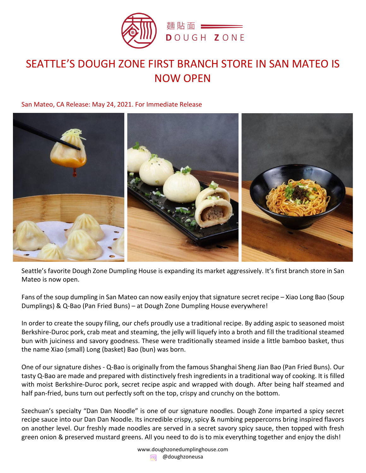

# SEATTLE'S DOUGH ZONE FIRST BRANCH STORE IN SAN MATEO IS NOW OPEN

San Mateo, CA Release: May 24, 2021. For Immediate Release



Seattle's favorite Dough Zone Dumpling House is expanding its market aggressively. It's first branch store in San Mateo is now open.

Fans of the soup dumpling in San Mateo can now easily enjoy that signature secret recipe – Xiao Long Bao (Soup Dumplings) & Q-Bao (Pan Fried Buns) – at Dough Zone Dumpling House everywhere!

In order to create the soupy filing, our chefs proudly use a traditional recipe. By adding aspic to seasoned moist Berkshire-Duroc pork, crab meat and steaming, the jelly will liquefy into a broth and fill the traditional steamed bun with juiciness and savory goodness. These were traditionally steamed inside a little bamboo basket, thus the name Xiao (small) Long (basket) Bao (bun) was born.

One of our signature dishes - Q-Bao is originally from the famous Shanghai Sheng Jian Bao (Pan Fried Buns). Our tasty Q-Bao are made and prepared with distinctively fresh ingredients in a traditional way of cooking. It is filled with moist Berkshire-Duroc pork, secret recipe aspic and wrapped with dough. After being half steamed and half pan-fried, buns turn out perfectly soft on the top, crispy and crunchy on the bottom.

Szechuan's specialty "Dan Dan Noodle" is one of our signature noodles. Dough Zone imparted a spicy secret recipe sauce into our Dan Dan Noodle. Its incredible crispy, spicy & numbing peppercorns bring inspired flavors on another level. Our freshly made noodles are served in a secret savory spicy sauce, then topped with fresh green onion & preserved mustard greens. All you need to do is to mix everything together and enjoy the dish!